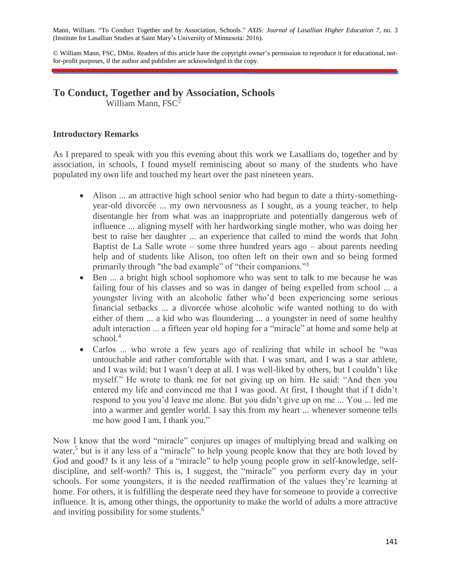Mann, William. "To Conduct Together and by Association, Schools." *AXIS: Journal of Lasallian Higher Education 7*, no. 3 (Institute for Lasallian Studies at Saint Mary's University of Minnesota: 2016).

© William Mann, FSC, DMin. Readers of this article have the copyright owner's permission to reproduce it for educational, notfor-profit purposes, if the author and publisher are acknowledged in the copy.

# **To Conduct, Together and by Association, Schools**

William Mann,  $FSC^2$ 

## **Introductory Remarks**

As I prepared to speak with you this evening about this work we Lasallians do, together and by association, in schools, I found myself reminiscing about so many of the students who have populated my own life and touched my heart over the past nineteen years.

- Alison ... an attractive high school senior who had begun to date a thirty-somethingyear-old divorcée ... my own nervousness as I sought, as a young teacher, to help disentangle her from what was an inappropriate and potentially dangerous web of influence ... aligning myself with her hardworking single mother, who was doing her best to raise her daughter ... an experience that called to mind the words that John Baptist de La Salle wrote – some three hundred years ago – about parents needing help and of students like Alison, too often left on their own and so being formed primarily through "the bad example" of "their companions."<sup>3</sup>
- Ben ... a bright high school sophomore who was sent to talk to me because he was failing four of his classes and so was in danger of being expelled from school ... a youngster living with an alcoholic father who'd been experiencing some serious financial setbacks ... a divorcée whose alcoholic wife wanted nothing to do with either of them ... a kid who was floundering ... a youngster in need of some healthy adult interaction ... a fifteen year old hoping for a "miracle" at home and some help at school $<sup>4</sup>$ </sup>
- Carlos ... who wrote a few years ago of realizing that while in school he "was untouchable and rather comfortable with that. I was smart, and I was a star athlete, and I was wild; but I wasn't deep at all. I was well-liked by others, but I couldn't like myself." He wrote to thank me for not giving up on him. He said: "And then you entered my life and convinced me that I was good. At first, I thought that if I didn't respond to you you'd leave me alone. But you didn't give up on me ... You ... led me into a warmer and gentler world. I say this from my heart ... whenever someone tells me how good I am, I thank you."

Now I know that the word "miracle" conjures up images of multiplying bread and walking on water,<sup>5</sup> but is it any less of a "miracle" to help young people know that they are both loved by God and good? Is it any less of a "miracle" to help young people grow in self-knowledge, selfdiscipline, and self-worth? This is, I suggest, the "miracle" you perform every day in your schools. For some youngsters, it is the needed reaffirmation of the values they're learning at home. For others, it is fulfilling the desperate need they have for someone to provide a corrective influence. It is, among other things, the opportunity to make the world of adults a more attractive and inviting possibility for some students.<sup>6</sup>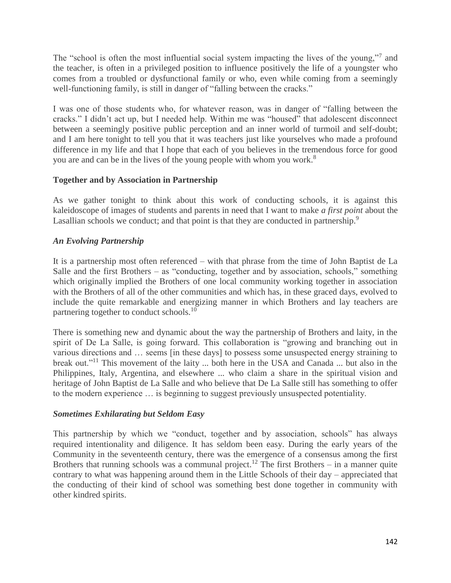The "school is often the most influential social system impacting the lives of the young,"7 and the teacher, is often in a privileged position to influence positively the life of a youngster who comes from a troubled or dysfunctional family or who, even while coming from a seemingly well-functioning family, is still in danger of "falling between the cracks."

I was one of those students who, for whatever reason, was in danger of "falling between the cracks." I didn't act up, but I needed help. Within me was "housed" that adolescent disconnect between a seemingly positive public perception and an inner world of turmoil and self-doubt; and I am here tonight to tell you that it was teachers just like yourselves who made a profound difference in my life and that I hope that each of you believes in the tremendous force for good you are and can be in the lives of the young people with whom you work.<sup>8</sup>

## **Together and by Association in Partnership**

As we gather tonight to think about this work of conducting schools, it is against this kaleidoscope of images of students and parents in need that I want to make *a first point* about the Lasallian schools we conduct; and that point is that they are conducted in partnership.<sup>9</sup>

## *An Evolving Partnership*

It is a partnership most often referenced – with that phrase from the time of John Baptist de La Salle and the first Brothers – as "conducting, together and by association, schools," something which originally implied the Brothers of one local community working together in association with the Brothers of all of the other communities and which has, in these graced days, evolved to include the quite remarkable and energizing manner in which Brothers and lay teachers are partnering together to conduct schools.<sup>10</sup>

There is something new and dynamic about the way the partnership of Brothers and laity, in the spirit of De La Salle, is going forward. This collaboration is "growing and branching out in various directions and … seems [in these days] to possess some unsuspected energy straining to break out."<sup>11</sup> This movement of the laity ... both here in the USA and Canada ... but also in the Philippines, Italy, Argentina, and elsewhere ... who claim a share in the spiritual vision and heritage of John Baptist de La Salle and who believe that De La Salle still has something to offer to the modern experience … is beginning to suggest previously unsuspected potentiality.

#### *Sometimes Exhilarating but Seldom Easy*

This partnership by which we "conduct, together and by association, schools" has always required intentionality and diligence. It has seldom been easy. During the early years of the Community in the seventeenth century, there was the emergence of a consensus among the first Brothers that running schools was a communal project.<sup>12</sup> The first Brothers – in a manner quite contrary to what was happening around them in the Little Schools of their day – appreciated that the conducting of their kind of school was something best done together in community with other kindred spirits.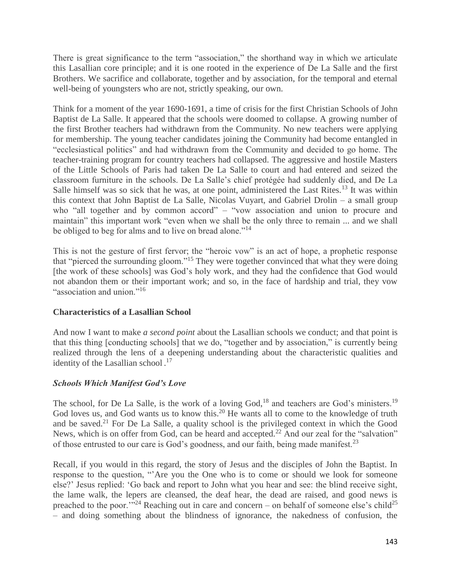There is great significance to the term "association," the shorthand way in which we articulate this Lasallian core principle; and it is one rooted in the experience of De La Salle and the first Brothers. We sacrifice and collaborate, together and by association, for the temporal and eternal well-being of youngsters who are not, strictly speaking, our own.

Think for a moment of the year 1690-1691, a time of crisis for the first Christian Schools of John Baptist de La Salle. It appeared that the schools were doomed to collapse. A growing number of the first Brother teachers had withdrawn from the Community. No new teachers were applying for membership. The young teacher candidates joining the Community had become entangled in "ecclesiastical politics" and had withdrawn from the Community and decided to go home. The teacher-training program for country teachers had collapsed. The aggressive and hostile Masters of the Little Schools of Paris had taken De La Salle to court and had entered and seized the classroom furniture in the schools. De La Salle's chief protégée had suddenly died, and De La Salle himself was so sick that he was, at one point, administered the Last Rites.<sup>13</sup> It was within this context that John Baptist de La Salle, Nicolas Vuyart, and Gabriel Drolin – a small group who "all together and by common accord" – "vow association and union to procure and maintain" this important work "even when we shall be the only three to remain ... and we shall be obliged to beg for alms and to live on bread alone."<sup>14</sup>

This is not the gesture of first fervor; the "heroic vow" is an act of hope, a prophetic response that "pierced the surrounding gloom."<sup>15</sup> They were together convinced that what they were doing [the work of these schools] was God's holy work, and they had the confidence that God would not abandon them or their important work; and so, in the face of hardship and trial, they vow "association and union."<sup>16</sup>

## **Characteristics of a Lasallian School**

And now I want to make *a second point* about the Lasallian schools we conduct; and that point is that this thing [conducting schools] that we do, "together and by association," is currently being realized through the lens of a deepening understanding about the characteristic qualities and identity of the Lasallian school.<sup>17</sup>

# *Schools Which Manifest God's Love*

The school, for De La Salle, is the work of a loving God,<sup>18</sup> and teachers are God's ministers.<sup>19</sup> God loves us, and God wants us to know this.<sup>20</sup> He wants all to come to the knowledge of truth and be saved.<sup>21</sup> For De La Salle, a quality school is the privileged context in which the Good News, which is on offer from God, can be heard and accepted.<sup>22</sup> And our zeal for the "salvation" of those entrusted to our care is God's goodness, and our faith, being made manifest.<sup>23</sup>

Recall, if you would in this regard, the story of Jesus and the disciples of John the Baptist. In response to the question, "'Are you the One who is to come or should we look for someone else?' Jesus replied: 'Go back and report to John what you hear and see: the blind receive sight, the lame walk, the lepers are cleansed, the deaf hear, the dead are raised, and good news is preached to the poor.<sup> $\frac{1}{2}$ </sup> Reaching out in care and concern – on behalf of someone else's child<sup>25</sup> – and doing something about the blindness of ignorance, the nakedness of confusion, the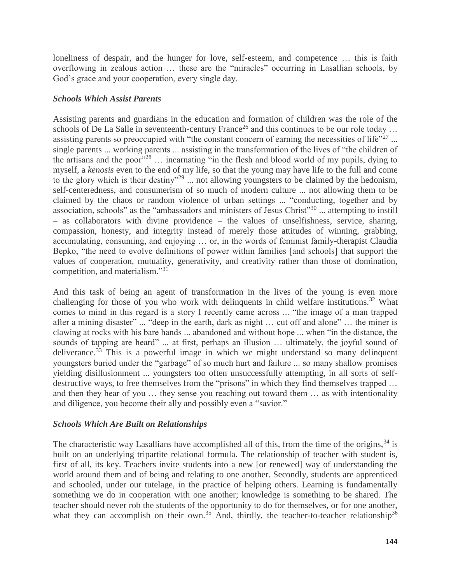loneliness of despair, and the hunger for love, self-esteem, and competence … this is faith overflowing in zealous action … these are the "miracles" occurring in Lasallian schools, by God's grace and your cooperation, every single day.

## *Schools Which Assist Parents*

Assisting parents and guardians in the education and formation of children was the role of the schools of De La Salle in seventeenth-century France<sup>26</sup> and this continues to be our role today ... assisting parents so preoccupied with "the constant concern of earning the necessities of life"<sup>27</sup>... single parents ... working parents ... assisting in the transformation of the lives of "the children of the artisans and the poor"<sup>28</sup> ... incarnating "in the flesh and blood world of my pupils, dying to myself, a *kenosis* even to the end of my life, so that the young may have life to the full and come to the glory which is their destiny"<sup>29</sup> ... not allowing youngsters to be claimed by the hedonism, self-centeredness, and consumerism of so much of modern culture ... not allowing them to be claimed by the chaos or random violence of urban settings ... "conducting, together and by association, schools" as the "ambassadors and ministers of Jesus Christ"<sup>30</sup> ... attempting to instill – as collaborators with divine providence – the values of unselfishness, service, sharing, compassion, honesty, and integrity instead of merely those attitudes of winning, grabbing, accumulating, consuming, and enjoying … or, in the words of feminist family-therapist Claudia Bepko, "the need to evolve definitions of power within families [and schools] that support the values of cooperation, mutuality, generativity, and creativity rather than those of domination, competition, and materialism."<sup>31</sup>

And this task of being an agent of transformation in the lives of the young is even more challenging for those of you who work with delinquents in child welfare institutions.<sup>32</sup> What comes to mind in this regard is a story I recently came across ... "the image of a man trapped after a mining disaster" ... "deep in the earth, dark as night ... cut off and alone" ... the miner is clawing at rocks with his bare hands ... abandoned and without hope ... when "in the distance, the sounds of tapping are heard" ... at first, perhaps an illusion ... ultimately, the joyful sound of deliverance.<sup>33</sup> This is a powerful image in which we might understand so many delinquent youngsters buried under the "garbage" of so much hurt and failure ... so many shallow promises yielding disillusionment ... youngsters too often unsuccessfully attempting, in all sorts of selfdestructive ways, to free themselves from the "prisons" in which they find themselves trapped … and then they hear of you … they sense you reaching out toward them … as with intentionality and diligence, you become their ally and possibly even a "savior."

## *Schools Which Are Built on Relationships*

The characteristic way Lasallians have accomplished all of this, from the time of the origins,  $34$  is built on an underlying tripartite relational formula. The relationship of teacher with student is, first of all, its key. Teachers invite students into a new [or renewed] way of understanding the world around them and of being and relating to one another. Secondly, students are apprenticed and schooled, under our tutelage, in the practice of helping others. Learning is fundamentally something we do in cooperation with one another; knowledge is something to be shared. The teacher should never rob the students of the opportunity to do for themselves, or for one another, what they can accomplish on their own.<sup>35</sup> And, thirdly, the teacher-to-teacher relationship<sup>36</sup>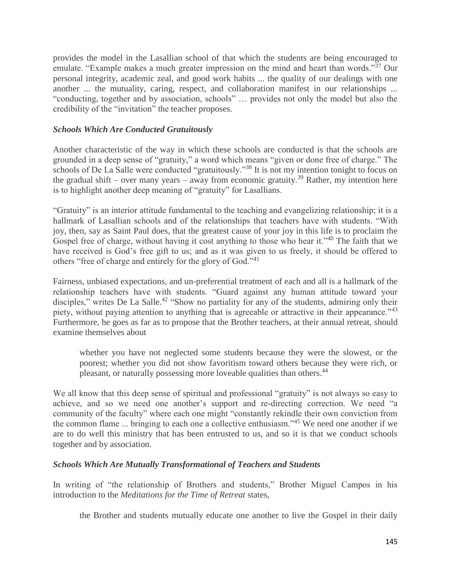provides the model in the Lasallian school of that which the students are being encouraged to emulate. "Example makes a much greater impression on the mind and heart than words."<sup>37</sup> Our personal integrity, academic zeal, and good work habits ... the quality of our dealings with one another ... the mutuality, caring, respect, and collaboration manifest in our relationships ... "conducting, together and by association, schools" … provides not only the model but also the credibility of the "invitation" the teacher proposes.

#### *Schools Which Are Conducted Gratuitously*

Another characteristic of the way in which these schools are conducted is that the schools are grounded in a deep sense of "gratuity," a word which means "given or done free of charge." The schools of De La Salle were conducted "gratuitously."<sup>38</sup> It is not my intention tonight to focus on the gradual shift – over many years – away from economic gratuity.<sup>39</sup> Rather, my intention here is to highlight another deep meaning of "gratuity" for Lasallians.

"Gratuity" is an interior attitude fundamental to the teaching and evangelizing relationship; it is a hallmark of Lasallian schools and of the relationships that teachers have with students. "With joy, then, say as Saint Paul does, that the greatest cause of your joy in this life is to proclaim the Gospel free of charge, without having it cost anything to those who hear it."<sup>40</sup> The faith that we have received is God's free gift to us; and as it was given to us freely, it should be offered to others "free of charge and entirely for the glory of God."<sup>41</sup>

Fairness, unbiased expectations, and un-preferential treatment of each and all is a hallmark of the relationship teachers have with students. "Guard against any human attitude toward your disciples," writes De La Salle.<sup>42</sup> "Show no partiality for any of the students, admiring only their piety, without paying attention to anything that is agreeable or attractive in their appearance."<sup>43</sup> Furthermore, he goes as far as to propose that the Brother teachers, at their annual retreat, should examine themselves about

whether you have not neglected some students because they were the slowest, or the poorest; whether you did not show favoritism toward others because they were rich, or pleasant, or naturally possessing more loveable qualities than others.<sup>44</sup>

We all know that this deep sense of spiritual and professional "gratuity" is not always so easy to achieve, and so we need one another's support and re-directing correction. We need "a community of the faculty" where each one might "constantly rekindle their own conviction from the common flame ... bringing to each one a collective enthusiasm."<sup>45</sup> We need one another if we are to do well this ministry that has been entrusted to us, and so it is that we conduct schools together and by association.

#### *Schools Which Are Mutually Transformational of Teachers and Students*

In writing of "the relationship of Brothers and students," Brother Miguel Campos in his introduction to the *Meditations for the Time of Retreat* states,

the Brother and students mutually educate one another to live the Gospel in their daily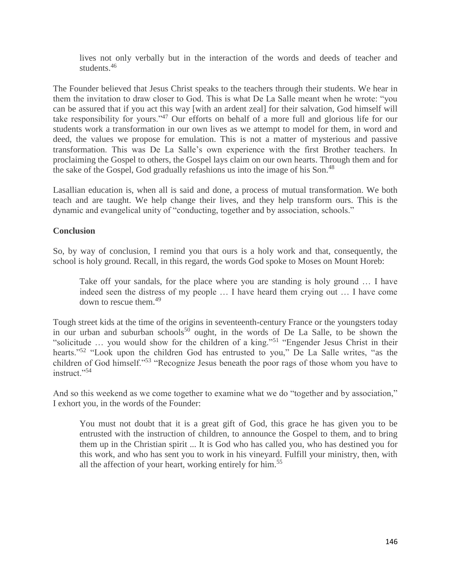lives not only verbally but in the interaction of the words and deeds of teacher and students.<sup>46</sup>

The Founder believed that Jesus Christ speaks to the teachers through their students. We hear in them the invitation to draw closer to God. This is what De La Salle meant when he wrote: "you can be assured that if you act this way [with an ardent zeal] for their salvation, God himself will take responsibility for yours."<sup>47</sup> Our efforts on behalf of a more full and glorious life for our students work a transformation in our own lives as we attempt to model for them, in word and deed, the values we propose for emulation. This is not a matter of mysterious and passive transformation. This was De La Salle's own experience with the first Brother teachers. In proclaiming the Gospel to others, the Gospel lays claim on our own hearts. Through them and for the sake of the Gospel, God gradually refashions us into the image of his Son.<sup>48</sup>

Lasallian education is, when all is said and done, a process of mutual transformation. We both teach and are taught. We help change their lives, and they help transform ours. This is the dynamic and evangelical unity of "conducting, together and by association, schools."

## **Conclusion**

So, by way of conclusion, I remind you that ours is a holy work and that, consequently, the school is holy ground. Recall, in this regard, the words God spoke to Moses on Mount Horeb:

Take off your sandals, for the place where you are standing is holy ground … I have indeed seen the distress of my people … I have heard them crying out … I have come down to rescue them.<sup>49</sup>

Tough street kids at the time of the origins in seventeenth-century France or the youngsters today in our urban and suburban schools<sup>50</sup> ought, in the words of De La Salle, to be shown the "solicitude … you would show for the children of a king."<sup>51</sup> "Engender Jesus Christ in their hearts."<sup>52</sup> "Look upon the children God has entrusted to you," De La Salle writes, "as the children of God himself."<sup>53</sup> "Recognize Jesus beneath the poor rags of those whom you have to instruct."<sup>54</sup>

And so this weekend as we come together to examine what we do "together and by association," I exhort you, in the words of the Founder:

You must not doubt that it is a great gift of God, this grace he has given you to be entrusted with the instruction of children, to announce the Gospel to them, and to bring them up in the Christian spirit ... It is God who has called you, who has destined you for this work, and who has sent you to work in his vineyard. Fulfill your ministry, then, with all the affection of your heart, working entirely for him.<sup>55</sup>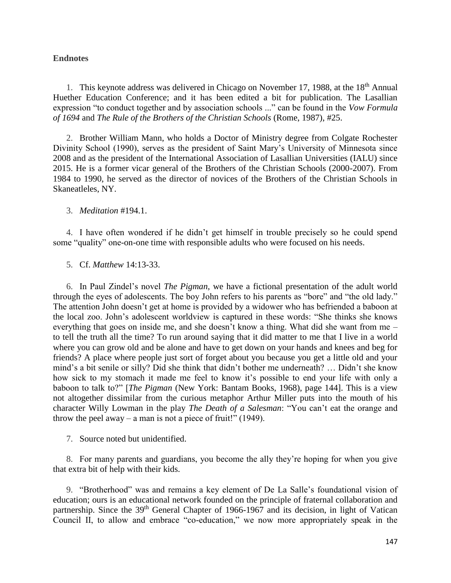#### **Endnotes**

1. This keynote address was delivered in Chicago on November 17, 1988, at the 18<sup>th</sup> Annual Huether Education Conference; and it has been edited a bit for publication. The Lasallian expression "to conduct together and by association schools ..." can be found in the *Vow Formula of 1694* and *The Rule of the Brothers of the Christian Schools* (Rome, 1987), #25.

2. Brother William Mann, who holds a Doctor of Ministry degree from Colgate Rochester Divinity School (1990), serves as the president of Saint Mary's University of Minnesota since 2008 and as the president of the International Association of Lasallian Universities (IALU) since 2015. He is a former vicar general of the Brothers of the Christian Schools (2000-2007). From 1984 to 1990, he served as the director of novices of the Brothers of the Christian Schools in Skaneatleles, NY.

#### 3. *Meditation* #194.1.

4. I have often wondered if he didn't get himself in trouble precisely so he could spend some "quality" one-on-one time with responsible adults who were focused on his needs.

#### 5. Cf. *Matthew* 14:13-33.

6. In Paul Zindel's novel *The Pigman*, we have a fictional presentation of the adult world through the eyes of adolescents. The boy John refers to his parents as "bore" and "the old lady." The attention John doesn't get at home is provided by a widower who has befriended a baboon at the local zoo. John's adolescent worldview is captured in these words: "She thinks she knows everything that goes on inside me, and she doesn't know a thing. What did she want from me – to tell the truth all the time? To run around saying that it did matter to me that I live in a world where you can grow old and be alone and have to get down on your hands and knees and beg for friends? A place where people just sort of forget about you because you get a little old and your mind's a bit senile or silly? Did she think that didn't bother me underneath? … Didn't she know how sick to my stomach it made me feel to know it's possible to end your life with only a baboon to talk to?" [*The Pigman* (New York: Bantam Books, 1968), page 144]. This is a view not altogether dissimilar from the curious metaphor Arthur Miller puts into the mouth of his character Willy Lowman in the play *The Death of a Salesman*: "You can't eat the orange and throw the peel away – a man is not a piece of fruit!"  $(1949)$ .

7. Source noted but unidentified.

8. For many parents and guardians, you become the ally they're hoping for when you give that extra bit of help with their kids.

9. "Brotherhood" was and remains a key element of De La Salle's foundational vision of education; ours is an educational network founded on the principle of fraternal collaboration and partnership. Since the 39<sup>th</sup> General Chapter of 1966-1967 and its decision, in light of Vatican Council II, to allow and embrace "co-education," we now more appropriately speak in the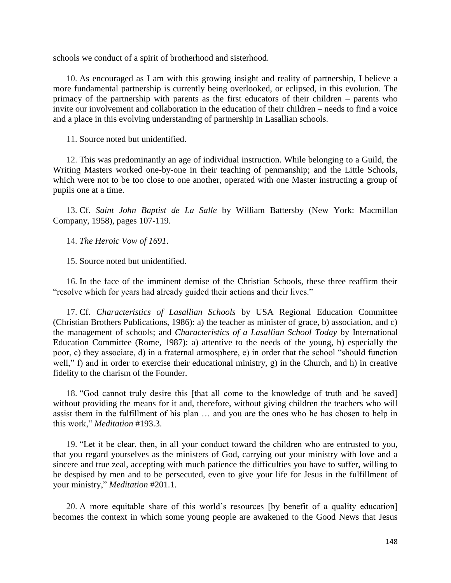schools we conduct of a spirit of brotherhood and sisterhood.

10. As encouraged as I am with this growing insight and reality of partnership, I believe a more fundamental partnership is currently being overlooked, or eclipsed, in this evolution. The primacy of the partnership with parents as the first educators of their children – parents who invite our involvement and collaboration in the education of their children – needs to find a voice and a place in this evolving understanding of partnership in Lasallian schools.

11. Source noted but unidentified.

12. This was predominantly an age of individual instruction. While belonging to a Guild, the Writing Masters worked one-by-one in their teaching of penmanship; and the Little Schools, which were not to be too close to one another, operated with one Master instructing a group of pupils one at a time.

13. Cf. *Saint John Baptist de La Salle* by William Battersby (New York: Macmillan Company, 1958), pages 107-119.

14. *The Heroic Vow of 1691*.

15. Source noted but unidentified.

16. In the face of the imminent demise of the Christian Schools, these three reaffirm their "resolve which for years had already guided their actions and their lives."

17. Cf. *Characteristics of Lasallian Schools* by USA Regional Education Committee (Christian Brothers Publications, 1986): a) the teacher as minister of grace, b) association, and c) the management of schools; and *Characteristics of a Lasallian School Today* by International Education Committee (Rome, 1987): a) attentive to the needs of the young, b) especially the poor, c) they associate, d) in a fraternal atmosphere, e) in order that the school "should function well," f) and in order to exercise their educational ministry, g) in the Church, and h) in creative fidelity to the charism of the Founder.

18. "God cannot truly desire this [that all come to the knowledge of truth and be saved] without providing the means for it and, therefore, without giving children the teachers who will assist them in the fulfillment of his plan … and you are the ones who he has chosen to help in this work," *Meditation* #193.3.

19. "Let it be clear, then, in all your conduct toward the children who are entrusted to you, that you regard yourselves as the ministers of God, carrying out your ministry with love and a sincere and true zeal, accepting with much patience the difficulties you have to suffer, willing to be despised by men and to be persecuted, even to give your life for Jesus in the fulfillment of your ministry," *Meditation* #201.1.

20. A more equitable share of this world's resources [by benefit of a quality education] becomes the context in which some young people are awakened to the Good News that Jesus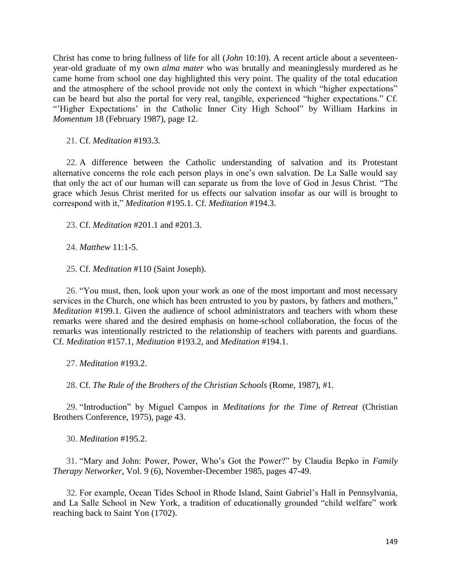Christ has come to bring fullness of life for all (*John* 10:10). A recent article about a seventeenyear-old graduate of my own *alma mater* who was brutally and meaninglessly murdered as he came home from school one day highlighted this very point. The quality of the total education and the atmosphere of the school provide not only the context in which "higher expectations" can be heard but also the portal for very real, tangible, experienced "higher expectations." Cf. "'Higher Expectations' in the Catholic Inner City High School" by William Harkins in *Momentum* 18 (February 1987), page 12.

21. Cf. *Meditation* #193.3.

22. A difference between the Catholic understanding of salvation and its Protestant alternative concerns the role each person plays in one's own salvation. De La Salle would say that only the act of our human will can separate us from the love of God in Jesus Christ. "The grace which Jesus Christ merited for us effects our salvation insofar as our will is brought to correspond with it," *Meditation* #195.1. Cf. *Meditation* #194.3.

23. Cf. *Meditation* #201.1 and #201.3.

24. *Matthew* 11:1-5.

25. Cf. *Meditation* #110 (Saint Joseph).

26. "You must, then, look upon your work as one of the most important and most necessary services in the Church, one which has been entrusted to you by pastors, by fathers and mothers," *Meditation* #199.1. Given the audience of school administrators and teachers with whom these remarks were shared and the desired emphasis on home-school collaboration, the focus of the remarks was intentionally restricted to the relationship of teachers with parents and guardians. Cf. *Meditation* #157.1, *Meditation* #193.2, and *Meditation* #194.1.

27. *Meditation* #193.2.

28. Cf. *The Rule of the Brothers of the Christian Schools* (Rome, 1987), #1.

29. "Introduction" by Miguel Campos in *Meditations for the Time of Retreat* (Christian Brothers Conference, 1975), page 43.

30. *Meditation* #195.2.

31. "Mary and John: Power, Power, Who's Got the Power?" by Claudia Bepko in *Family Therapy Networker*, Vol. 9 (6), November-December 1985, pages 47-49.

32. For example, Ocean Tides School in Rhode Island, Saint Gabriel's Hall in Pennsylvania, and La Salle School in New York, a tradition of educationally grounded "child welfare" work reaching back to Saint Yon (1702).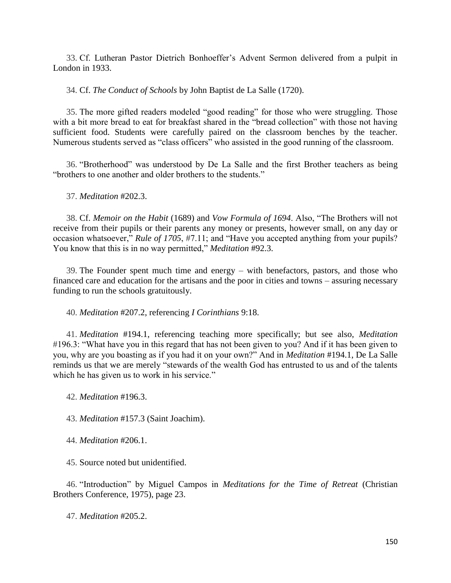33. Cf. Lutheran Pastor Dietrich Bonhoeffer's Advent Sermon delivered from a pulpit in London in 1933.

34. Cf. *The Conduct of Schools* by John Baptist de La Salle (1720).

35. The more gifted readers modeled "good reading" for those who were struggling. Those with a bit more bread to eat for breakfast shared in the "bread collection" with those not having sufficient food. Students were carefully paired on the classroom benches by the teacher. Numerous students served as "class officers" who assisted in the good running of the classroom.

36. "Brotherhood" was understood by De La Salle and the first Brother teachers as being "brothers to one another and older brothers to the students."

37. *Meditation* #202.3.

38. Cf. *Memoir on the Habit* (1689) and *Vow Formula of 1694*. Also, "The Brothers will not receive from their pupils or their parents any money or presents, however small, on any day or occasion whatsoever," *Rule of 1705*, #7.11; and "Have you accepted anything from your pupils? You know that this is in no way permitted," *Meditation* #92.3.

39. The Founder spent much time and energy – with benefactors, pastors, and those who financed care and education for the artisans and the poor in cities and towns – assuring necessary funding to run the schools gratuitously.

40. *Meditation* #207.2, referencing *I Corinthians* 9:18.

41. *Meditation* #194.1, referencing teaching more specifically; but see also, *Meditation* #196.3: "What have you in this regard that has not been given to you? And if it has been given to you, why are you boasting as if you had it on your own?" And in *Meditation* #194.1, De La Salle reminds us that we are merely "stewards of the wealth God has entrusted to us and of the talents which he has given us to work in his service."

42. *Meditation* #196.3.

43. *Meditation* #157.3 (Saint Joachim).

44. *Meditation* #206.1.

45. Source noted but unidentified.

46. "Introduction" by Miguel Campos in *Meditations for the Time of Retreat* (Christian Brothers Conference, 1975), page 23.

47. *Meditation* #205.2.